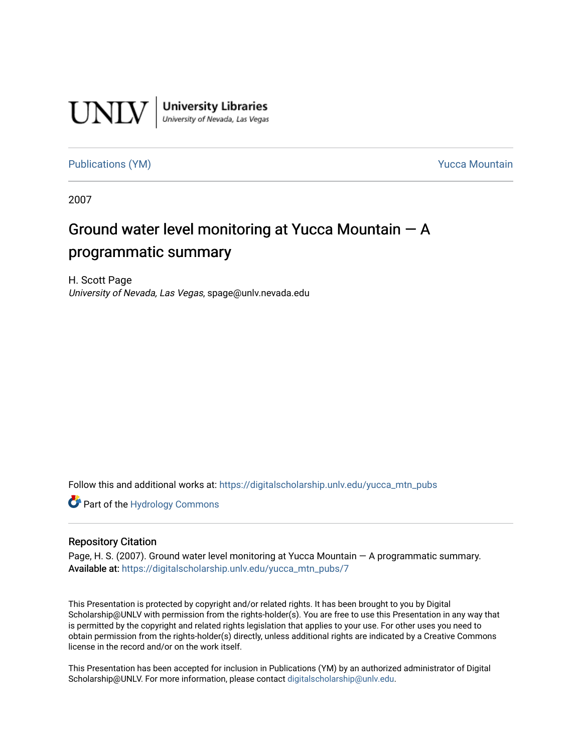

[Publications \(YM\)](https://digitalscholarship.unlv.edu/yucca_mtn_pubs) **Publications** (YM) **Publications** (YM)

2007

#### Ground water level monitoring at Yucca Mountain  $- A$ programmatic summary

H. Scott Page University of Nevada, Las Vegas, spage@unlv.nevada.edu

Follow this and additional works at: [https://digitalscholarship.unlv.edu/yucca\\_mtn\\_pubs](https://digitalscholarship.unlv.edu/yucca_mtn_pubs?utm_source=digitalscholarship.unlv.edu%2Fyucca_mtn_pubs%2F7&utm_medium=PDF&utm_campaign=PDFCoverPages)

**Part of the Hydrology Commons** 

#### Repository Citation

Page, H. S. (2007). Ground water level monitoring at Yucca Mountain — A programmatic summary. Available at: [https://digitalscholarship.unlv.edu/yucca\\_mtn\\_pubs/7](https://digitalscholarship.unlv.edu/yucca_mtn_pubs/7)

This Presentation is protected by copyright and/or related rights. It has been brought to you by Digital Scholarship@UNLV with permission from the rights-holder(s). You are free to use this Presentation in any way that is permitted by the copyright and related rights legislation that applies to your use. For other uses you need to obtain permission from the rights-holder(s) directly, unless additional rights are indicated by a Creative Commons license in the record and/or on the work itself.

This Presentation has been accepted for inclusion in Publications (YM) by an authorized administrator of Digital Scholarship@UNLV. For more information, please contact [digitalscholarship@unlv.edu.](mailto:digitalscholarship@unlv.edu)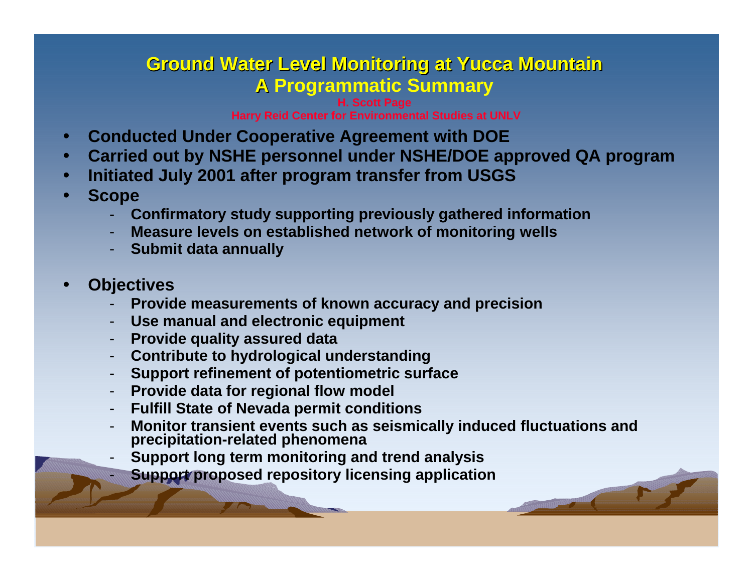#### **Ground Water Level Monitoring at Yucca Mountain Ground Water Level Monitoring at Yucca Mountain A Programmatic Summary A**

**H. Scott Page Harry Reid Center for Environmental Studies at UNLV**

- $\bullet$ **Conducted Under Cooperative Agreement with DOE**
- $\bullet$ **Carried out by NSHE personnel under NSHE/DOE approved QA program**
- $\bullet$ **Initiated July 2001 after program transfer from USGS**
- e **Scope**
	- -**Confirmatory study supporting previously gathered information**
	- -**Measure levels on established network of monitoring wells**
	- **Submit data annually**
- $\bullet$ **Objectives**

-

- -**Provide measurements of known accuracy and precision**
- -**Use manual and electronic equipment**
- **Provide quality assured data**
- **Contribute to hydrological understanding**
- **Support refinement of potentiometric surface**
- -**Provide data for regional flow model**
- -**Fulfill State of Nevada permit conditions**
- -**Monitor transient events such as seismically induced fluctuations and precipitation-related phenomena**
- -**Support long term monitoring and trend analysis**
- **Support proposed repository licensing application**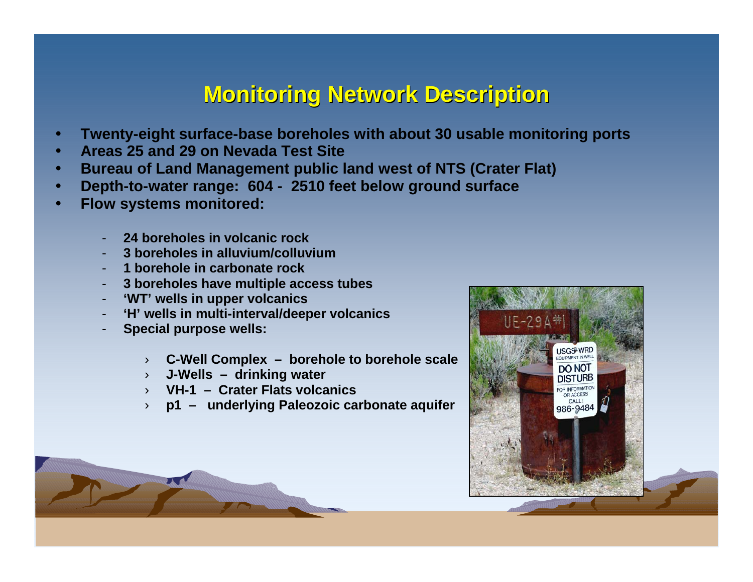# **Monitoring Network Description Monitoring Network Description**

- $\bullet$ **Twenty-eight surface-base boreholes with about 30 usable monitoring ports**
- $\bullet$ **Areas 25 and 29 on Nevada Test Site**
- $\bullet$ **Bureau of Land Management public land west of NTS (Crater Flat)**
- $\bullet$ **Depth-to-water range: 604 - 2510 feet below ground surface**
- $\bullet$  **Flow systems monitored:**
	- **24 boreholes in volcanic rock**
	- **3 boreholes in alluvium/colluvium**
	- **1 borehole in carbonate rock**
	- **3 boreholes have multiple access tubes**
	- **'WT' wells in upper volcanics**
	- **'H' wells in multi-interval/deeper volcanics**
	- **Special purpose wells:** 
		- ›**C-Well Complex – borehole to borehole scale**
		- › **J-Wells – drinking water**
		- › **VH-1 – Crater Flats volcanics**
		- ›**p1 – underlying Paleozoic carbonate aquifer**

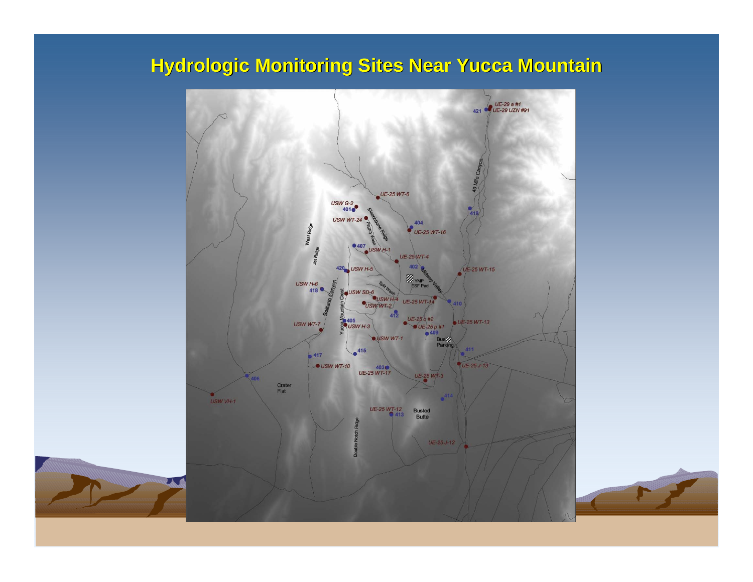# **Hydrologic Monitoring Sites Near Yucca Mountain**



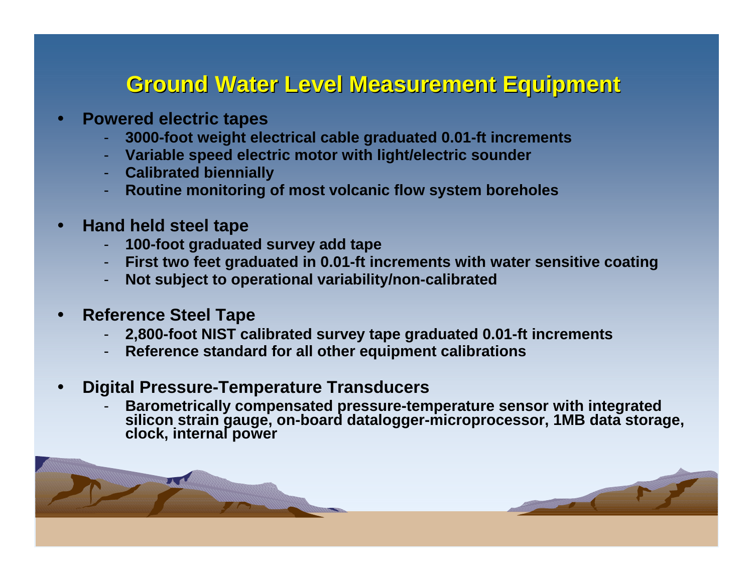# **Ground Water Level Measurement Equipment Ground Water Level Measurement Equipment**

- o **Powered electric tapes**
	- **3000-foot weight electrical cable graduated 0.01-ft increments**
	- **Variable speed electric motor with light/electric sounder**
	- **Calibrated biennially**
	- **Routine monitoring of most volcanic flow system boreholes**
- $\bullet$  **Hand held steel tape**
	- **100-foot graduated survey add tape**
	- **First two feet graduated in 0.01-ft increments with water sensitive coating**
	- **Not subject to operational variability/non-calibrated**
- $\bullet$  **Reference Steel Tape**
	- **2,800-foot NIST calibrated survey tape graduated 0.01-ft increments**
	- **Reference standard for all other equipment calibrations**
- $\bullet$  **Digital Pressure-Temperature Transducers**
	- **Barometrically compensated pressure-temperature sensor with integrated silicon strain gauge, on-board datalogger-microprocessor, 1MB data storage, clock, internal power**

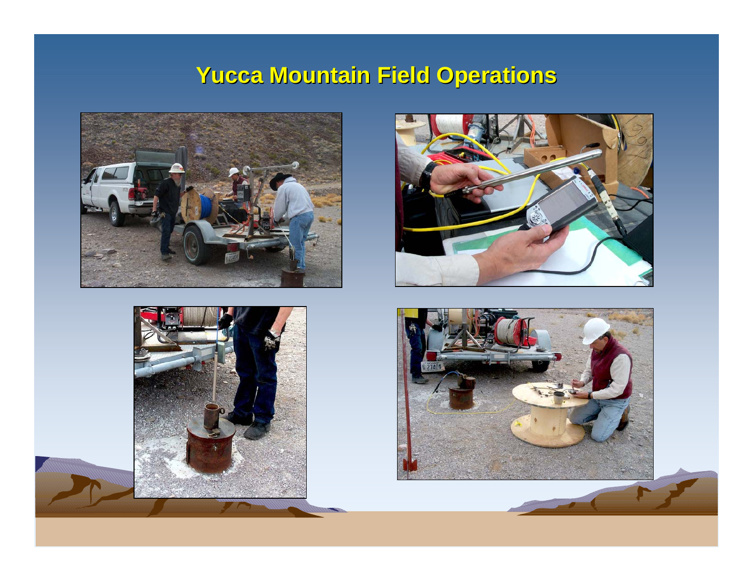# **Yucca Mountain Field Operations Yucca Mountain Field Operations**







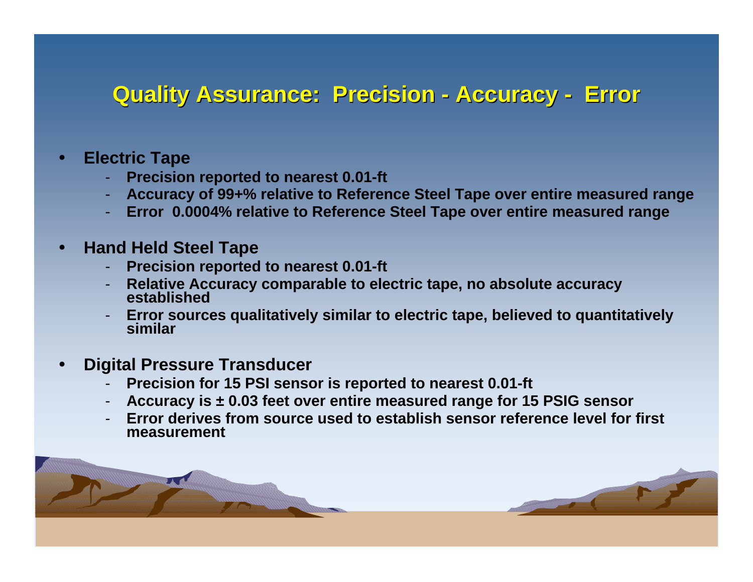#### **Quality Assurance: Precision Quality Assurance: Precision Accuracy Accuracy - Error**

- e **Electric Tape**
	- -**Precision reported to nearest 0.01-ft**
	- **Accuracy of 99+% relative to Reference Steel Tape over entire measured range**
	- **Error 0.0004% relative to Reference Steel Tape over entire measured range**
- e **Hand Held Steel Tape**
	- -**Precision reported to nearest 0.01-ft**
	- -**Relative Accuracy comparable to electric tape, no absolute accuracy established**
	- -**Error sources qualitatively similar to electric tape, believed to quantitatively similar**
- e **Digital Pressure Transducer**
	- -**Precision for 15 PSI sensor is reported to nearest 0.01-ft**
	- -**Accuracy is ± 0.03 feet over entire measured range for 15 PSIG sensor**
	- - **Error derives from source used to establish sensor reference level for first measurement**

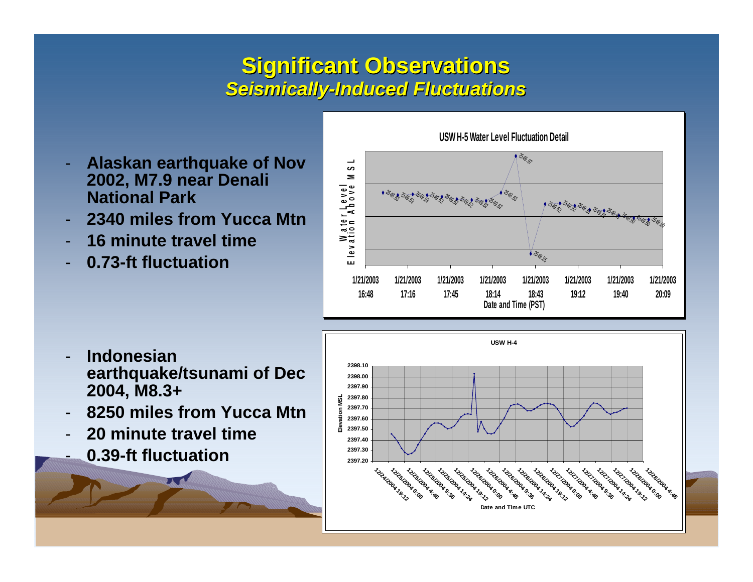## **Significant Observations Significant Observations** *Seismically Seismically-Induced Fluctuations Induced Fluctuations*

- - **Alaskan earthquake of Nov 2002, M7.9 near Denali National Park**
- -**2340 miles from Yucca Mtn**
- -**16 minute travel time**
- **0.73-ft fluctuation**



**USW H-5 Water Level Fluctuation Detail** 

- - **Indonesian earthquake/tsunami of Dec 2004, M8.3+**
- -**8250 miles from Yucca Mtn**
- -**20 minute travel time**
- -**0.39-ft fluctuation**

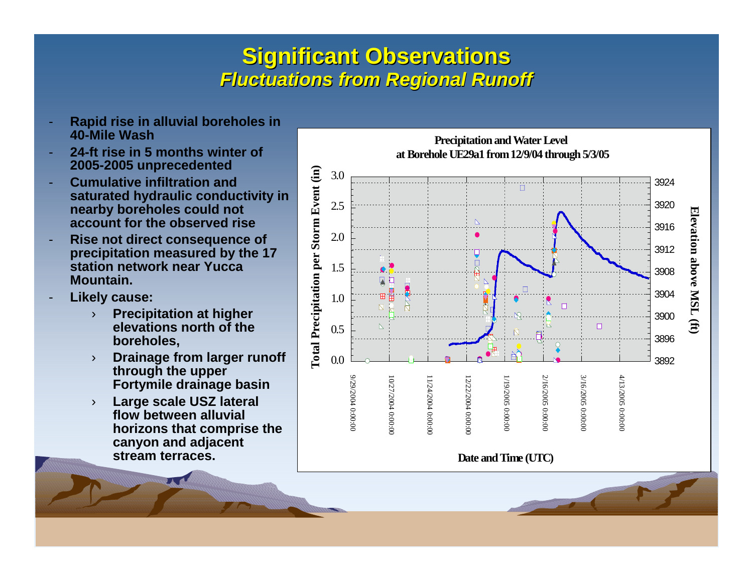# **Significant Observations Significant Observations** *Fluctuations from Regional Runoff Fluctuations from Regional Runoff*

- **Rapid rise in alluvial boreholes in 40-Mile Wash**
- - **24-ft rise in 5 months winter of 2005-2005 unprecedented**
- - **Cumulative infiltration and saturated hydraulic conductivity in nearby boreholes could not account for the observed rise**
- - **Rise not direct consequence of precipitation measured by the 17 station network near Yucca Mountain.**
- - **Likely cause:**
	- › **Precipitation at higher elevations north of the boreholes,**
	- › **Drainage from larger runoff through the upper Fortymile drainage basin**
	- › **Large scale USZ lateral flow between alluvial horizons that comprise the canyon and adjacent stream terraces.**

**Precipitation and Water Level at Borehole UE29a1 from 12/9/04 through 5/3/05Total Precipitation per Storm Event (in) Total Precipitation per Storm Event (in)** 3.039242.53920Elevation **Elevation above MSL (ft)**  $\Delta$ 39162.03912above MSL 1.53908П 39041.0K  $\Box$  $\overline{\mathbb{N}}$ 3900 $\ddot{H}$  $\Box$  $0.5\,$  $\boxtimes$ 38960.038929/29/2004 0:00:00 2/16/2005 0:00:00 3/16/2005 0:00:00 4/13/2005 0:00:00 9/29/2004 0:00:00 10/27/2004 0:00:00 10/27/2004 0:00:00 11/24/2004 0:00:00 11/24/2004 0:00:00 12/22/2004 0:00:00 12/22/2004 0:00:00 1/19/2005 0:00:00 1/19/2005 0:00:00 2/16/2005 0:00:00 3/16/2005 0:00:00 4/13/2005 0:00:00

**Date and Time (UTC)**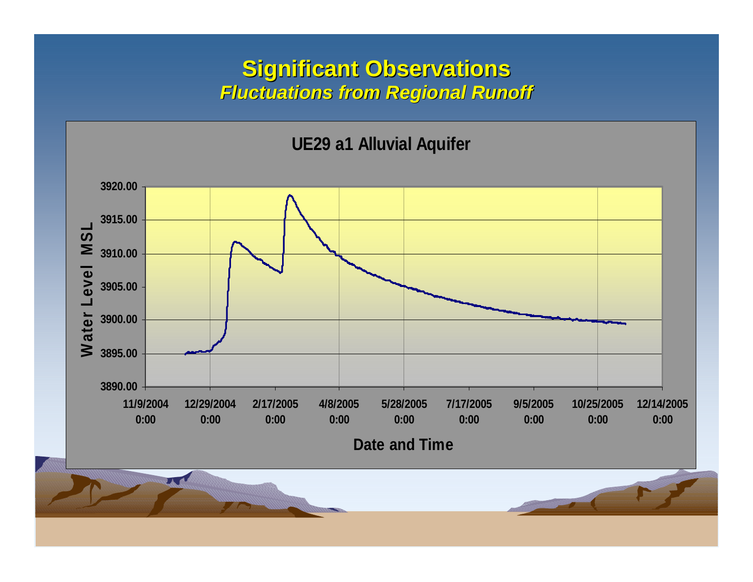#### **Significant Observations Significant Observations** *Fluctuations from Regional Runoff Fluctuations from Regional Runoff*



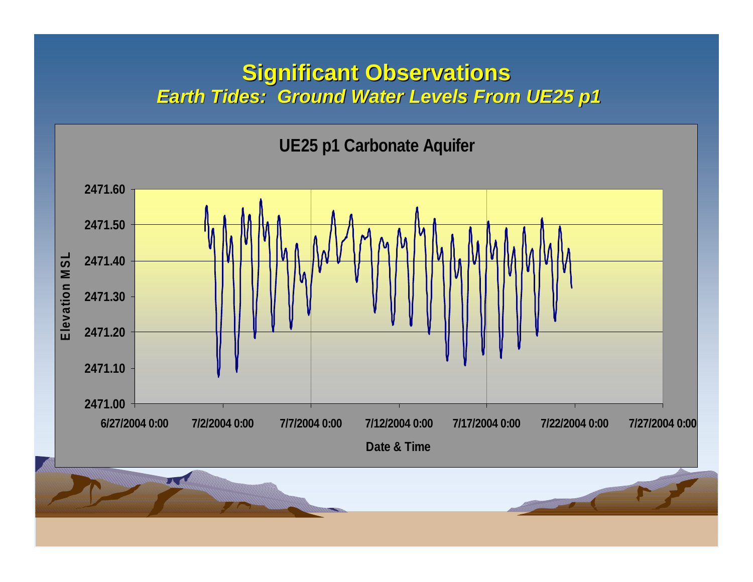#### **Significant Observations Significant Observations Earth Tides: Ground Water Levels From UE25 p1**

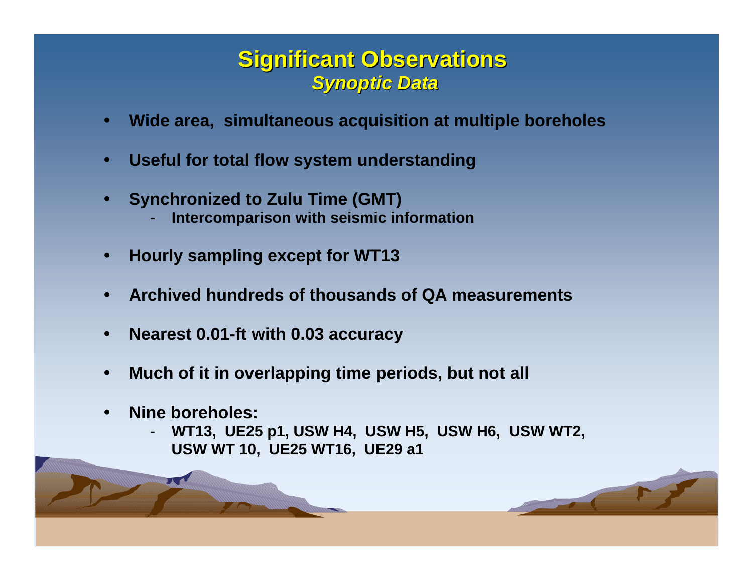### **Significant Observations Significant Observations** *Synoptic Data Synoptic Data*

- $\bullet$ **Wide area, simultaneous acquisition at multiple boreholes**
- $\bullet$ **Useful for total flow system understanding**
- $\bullet$  **Synchronized to Zulu Time (GMT) Intercomparison with seismic information**
- $\bullet$ **Hourly sampling except for WT13**
- $\bullet$ **Archived hundreds of thousands of QA measurements**
- $\bullet$ **Nearest 0.01-ft with 0.03 accuracy**
- $\bullet$ **Much of it in overlapping time periods, but not all**
- $\bullet$  **Nine boreholes:**
	- **WT13, UE25 p1, USW H4, USW H5, USW H6, USW WT2, USW WT 10, UE25 WT16, UE29 a1**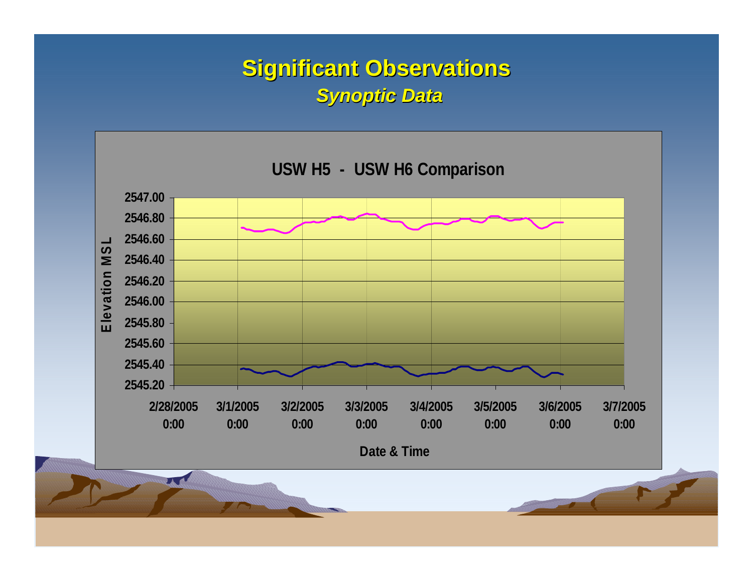# **Significant Observations Significant Observations** *Synoptic Data Synoptic Data*

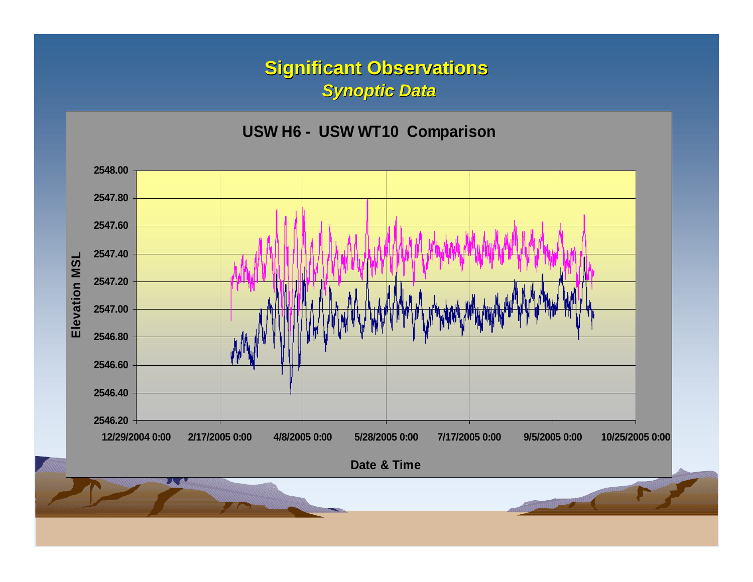#### **Significant Observations Significant Observations** *Synoptic Data Synoptic Data*

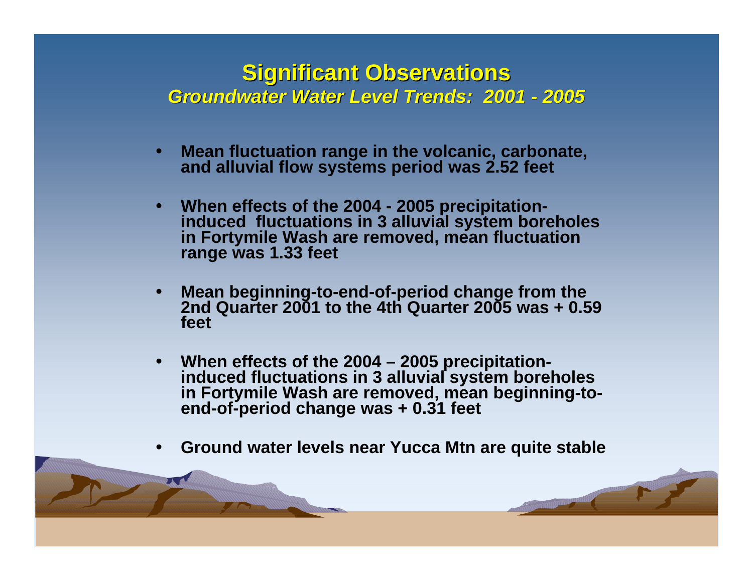#### **Significant Observations Significant Observations** *Groundwater Water Level Trends: 2001 - 2005*

- e **Mean fluctuation range in the volcanic, carbonate, and alluvial flow systems period was 2.52 feet**
- $\bullet$ When effects of the 2004 - 2005 precipitation-<br>
induced fluctuations in 3 alluvial system boreholes<br>
in Fortymile Wash are removed, mean fluctuation<br>
range was 1.33 feet
- e **Mean beginning-to-end-of-period change from the 2nd Quarter 2001 to the 4th Quarter 2005 was + 0.59 feet**
- $\bullet$ When effects of the 2004 – 2005 precipitation-<br>
induced fluctuations in 3 alluvial system boreholes<br>
in Fortymile Wash are removed, mean beginning-to-<br>
end-of-period change was + 0.31 feet
- e **Ground water levels near Yucca Mtn are quite stable**